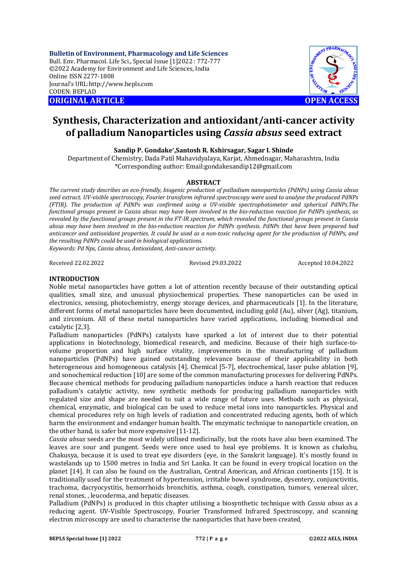**Bulletin of Environment, Pharmacology and Life Sciences** Bull. Env. Pharmacol. Life Sci., Special Issue [1]2022 : 772-777 ©2022 Academy for Environment and Life Sciences, India Online ISSN 2277-1808 Journal's URL:<http://www.bepls.com> CODEN: BEPLAD **ORIGINAL ARTICLE OPEN ACCESS** 



# **Synthesis, Characterization and antioxidant/anti-cancer activity of palladium Nanoparticles using** *Cassia absus* **seed extract**

**Sandip P. Gondake\* ,Santosh R. Kshirsagar, Sagar I. Shinde**

Department of Chemistry, Dada Patil Mahavidyalaya, Karjat, Ahmednagar, Maharashtra, India \*Corresponding author: [Email:gondakesandip12@gmail.com](mailto:Email:gondakesandip12@gmail.com)

#### **ABSTRACT**

*The current study describes an eco-friendly, biogenic production of palladium nanoparticles (PdNPs) using Cassia absus seed extract. UV-visible spectroscopy, Fourier transform infrared spectroscopy were used to analyse the produced PdNPs (FTIR). The production of PdNPs was confirmed using a UV-visible spectrophotometer and spherical PdNPs.The functional groups present in Cassia absus may have been involved in the bio-reduction reaction for PdNPs synthesis, as revealed by the functional groups present in the FT-IR spectrum, which revealed the functional groups present in Cassia absus may have been involved in the bio-reduction reaction for PdNPs synthesis. PdNPs that have been prepared had anticancer and antioxidant properties. It could be used as a non-toxic reducing agent for the production of PdNPs, and the resulting PdNPs could be used in biological applications.*

*Keywords: Pd Nps, Cassia absus, Antioxidant, Anti-cancer activity*.

Received 22.02.2022 Revised 29.03.2022 Accepted 10.04.2022

# **INTRODUCTION**

Noble metal nanoparticles have gotten a lot of attention recently because of their outstanding optical qualities, small size, and unusual physiochemical properties. These nanoparticles can be used in electronics, sensing, photochemistry, energy storage devices, and pharmaceuticals [1]. In the literature, different forms of metal nanoparticles have been documented, including gold (Au), silver (Ag), titanium, and zirconium. All of these metal nanoparticles have varied applications, including biomedical and catalytic [2,3].

Palladium nanoparticles (PdNPs) catalysts have sparked a lot of interest due to their potential applications in biotechnology, biomedical research, and medicine. Because of their high surface-tovolume proportion and high surface vitality, improvements in the manufacturing of palladium nanoparticles (PdNPs) have gained outstanding relevance because of their applicability in both heterogeneous and homogeneous catalysis [4]. Chemical [5-7], electrochemical, laser pulse ablation [9], and sonochemical reduction [10] are some of the common manufacturing processes for delivering PdNPs. Because chemical methods for producing palladium nanoparticles induce a harsh reaction that reduces palladium's catalytic activity, new synthetic methods for producing palladium nanoparticles with regulated size and shape are needed to suit a wide range of future uses. Methods such as physical, chemical, enzymatic, and biological can be used to reduce metal ions into nanoparticles. Physical and chemical procedures rely on high levels of radiation and concentrated reducing agents, both of which harm the environment and endanger human health. The enzymatic technique to nanoparticle creation, on the other hand, is safer but more expensive [11-12].

*Cassia absus* seeds are the most widely utilised medicinally, but the roots have also been examined. The leaves are sour and pungent. Seeds were once used to heal eye problems. It is known as chakshu, Chakusya, because it is used to treat eye disorders (eye, in the Sanskrit language). It's mostly found in wastelands up to 1500 metres in India and Sri Lanka. It can be found in every tropical location on the planet [14]. It can also be found on the Australian, Central American, and African continents [15]. It is traditionally used for the treatment of hypertension, irritable bowel syndrome, dysentery, conjunctivitis, trachoma, dacryocystitis, hemorrhoids bronchitis, asthma, cough, constipation, tumors, venereal ulcer, renal stones, , leucoderma, and hepatic diseases.

Palladium (PdNPs) is produced in this chapter utilising a biosynthetic technique with *Cassia absus* as a reducing agent. UV-Visible Spectroscopy, Fourier Transformed Infrared Spectroscopy, and scanning electron microscopy are used to characterise the nanoparticles that have been created.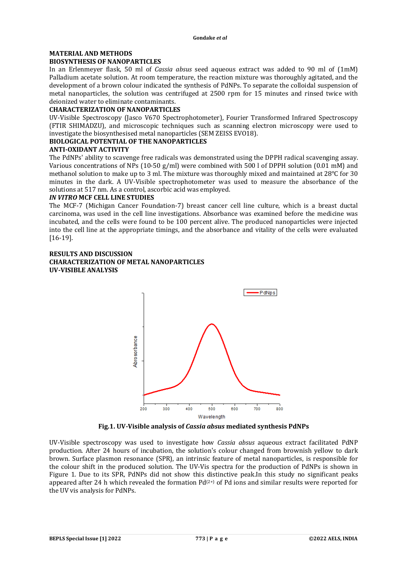#### **MATERIAL AND METHODS BIOSYNTHESIS OF NANOPARTICLES**

In an Erlenmeyer flask, 50 ml of *Cassia absus* seed aqueous extract was added to 90 ml of (1mM) Palladium acetate solution. At room temperature, the reaction mixture was thoroughly agitated, and the development of a brown colour indicated the synthesis of PdNPs. To separate the colloidal suspension of metal nanoparticles, the solution was centrifuged at 2500 rpm for 15 minutes and rinsed twice with deionized water to eliminate contaminants.

#### **CHARACTERIZATION OF NANOPARTICLES**

UV-Visible Spectroscopy (Jasco V670 Spectrophotometer), Fourier Transformed Infrared Spectroscopy (FTIR SHIMADZU), and microscopic techniques such as scanning electron microscopy were used to investigate the biosynthesised metal nanoparticles (SEM ZEISS EVO18).

#### **BIOLOGICAL POTENTIAL OF THE NANOPARTICLES**

#### **ANTI-OXIDANT ACTIVITY**

The PdNPs' ability to scavenge free radicals was demonstrated using the DPPH radical scavenging assay. Various concentrations of NPs (10-50 g/ml) were combined with 500 l of DPPH solution (0.01 mM) and methanol solution to make up to 3 ml. The mixture was thoroughly mixed and maintained at 28°C for 30 minutes in the dark. A UV-Visible spectrophotometer was used to measure the absorbance of the solutions at 517 nm. As a control, ascorbic acid was employed.

#### *IN VITRO* **MCF CELL LINE STUDIES**

The MCF-7 (Michigan Cancer Foundation-7) breast cancer cell line culture, which is a breast ductal carcinoma, was used in the cell line investigations. Absorbance was examined before the medicine was incubated, and the cells were found to be 100 percent alive. The produced nanoparticles were injected into the cell line at the appropriate timings, and the absorbance and vitality of the cells were evaluated [16-19].

#### **RESULTS AND DISCUSSION CHARACTERIZATION OF METAL NANOPARTICLES UV-VISIBLE ANALYSIS**



**Fig.1. UV-Visible analysis of** *Cassia absus* **mediated synthesis PdNPs**

UV-Visible spectroscopy was used to investigate how *Cassia absus* aqueous extract facilitated PdNP production. After 24 hours of incubation, the solution's colour changed from brownish yellow to dark brown. Surface plasmon resonance (SPR), an intrinsic feature of metal nanoparticles, is responsible for the colour shift in the produced solution. The UV-Vis spectra for the production of PdNPs is shown in Figure 1. Due to its SPR, PdNPs did not show this distinctive peak.In this study no significant peaks appeared after 24 h which revealed the formation  $Pd^{(2+)}$  of Pd ions and similar results were reported for the UV vis analysis for PdNPs.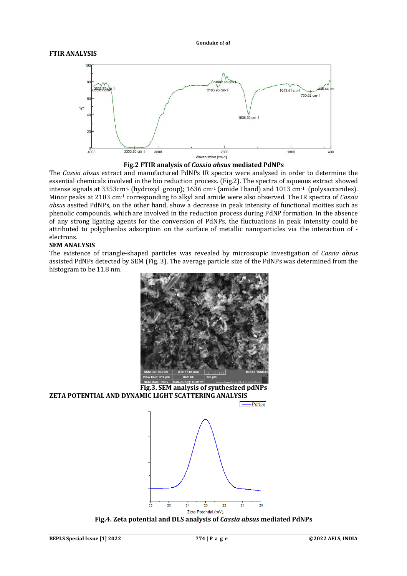



The *Cassia absus* extract and manufactured PdNPs IR spectra were analysed in order to determine the essential chemicals involved in the bio reduction process. (Fig.2). The spectra of aqueous extract showed intense signals at  $3353 \text{cm}^{-1}$  (hydroxyl group); 1636 cm<sup>-1</sup> (amide I band) and 1013 cm<sup>-1</sup> (polysaccarides). Minor peaks at 2103 cm-1 corresponding to alkyl and amide were also observed. The IR spectra of *Cassia absus* assited PdNPs, on the other hand, show a decrease in peak intensity of functional moities such as phenolic compounds, which are involved in the reduction process during PdNP formation. In the absence of any strong ligating agents for the conversion of PdNPs, the fluctuations in peak intensity could be attributed to polyphenlos adsorption on the surface of metallic nanoparticles via the interaction of electrons.

#### **SEM ANALYSIS**

The existence of triangle-shaped particles was revealed by microscopic investigation of *Cassia absus* assisted PdNPs detected by SEM (Fig. 3). The average particle size of the PdNPs was determined from the histogram to be 11.8 nm.



**Fig.3. SEM analysis of synthesized pdNPs ZETA POTENTIAL AND DYNAMIC LIGHT SCATTERING ANALYSIS**



 $-$  PdNps

**Fig.4. Zeta potential and DLS analysis of** *Cassia absus* **mediated PdNPs**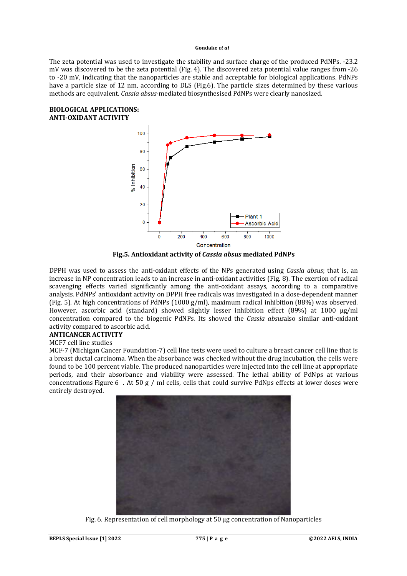The zeta potential was used to investigate the stability and surface charge of the produced PdNPs. -23.2 mV was discovered to be the zeta potential (Fig. 4). The discovered zeta potential value ranges from -26 to -20 mV, indicating that the nanoparticles are stable and acceptable for biological applications. PdNPs have a particle size of 12 nm, according to DLS (Fig.6). The particle sizes determined by these various methods are equivalent. *Cassia absus*-mediated biosynthesised PdNPs were clearly nanosized.

#### **BIOLOGICAL APPLICATIONS: ANTI-OXIDANT ACTIVITY**



**Fig.5. Antioxidant activity of** *Cassia absus* **mediated PdNPs**

DPPH was used to assess the anti-oxidant effects of the NPs generated using *Cassia absus*; that is, an increase in NP concentration leads to an increase in anti-oxidant activities (Fig. 8). The exertion of radical scavenging effects varied significantly among the anti-oxidant assays, according to a comparative analysis. PdNPs' antioxidant activity on DPPH free radicals was investigated in a dose-dependent manner (Fig. 5). At high concentrations of PdNPs (1000 g/ml), maximum radical inhibition (88%) was observed. However, ascorbic acid (standard) showed slightly lesser inhibition effect (89%) at 1000 µg/ml concentration compared to the biogenic PdNPs. Its showed the *Cassia absus*also similar anti-oxidant activity compared to ascorbic acid.

#### **ANTICANCER ACTIVITY**

# MCF7 cell line studies

MCF-7 (Michigan Cancer Foundation-7) cell line tests were used to culture a breast cancer cell line that is a breast ductal carcinoma. When the absorbance was checked without the drug incubation, the cells were found to be 100 percent viable. The produced nanoparticles were injected into the cell line at appropriate periods, and their absorbance and viability were assessed. The lethal ability of PdNps at various concentrations Figure 6 . At 50 g / ml cells, cells that could survive PdNps effects at lower doses were entirely destroyed.



Fig. 6. Representation of cell morphology at 50 μg concentration of Nanoparticles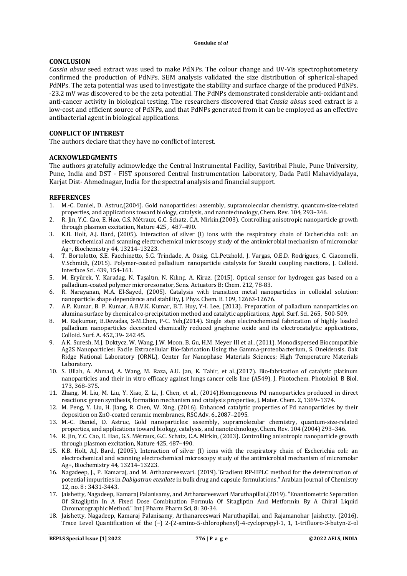#### **CONCLUSION**

*Cassia absus* seed extract was used to make PdNPs. The colour change and UV-Vis spectrophotometery confirmed the production of PdNPs. SEM analysis validated the size distribution of spherical-shaped PdNPs. The zeta potential was used to investigate the stability and surface charge of the produced PdNPs. -23.2 mV was discovered to be the zeta potential. The PdNPs demonstrated considerable anti-oxidant and anti-cancer activity in biological testing. The researchers discovered that *Cassia absus* seed extract is a low-cost and efficient source of PdNPs, and that PdNPs generated from it can be employed as an effective antibacterial agent in biological applications.

# **CONFLICT OF INTEREST**

The authors declare that they have no conflict of interest.

#### **ACKNOWLEDGMENTS**

The authors gratefully acknowledge the Central Instrumental Facility, Savitribai Phule, Pune University, Pune, India and DST - FIST sponsored Central Instrumentation Laboratory, Dada Patil Mahavidyalaya, Karjat Dist- Ahmednagar, India for the spectral analysis and financial support.

#### **REFERENCES**

- 1. M.-C. Daniel, D. Astruc,(2004). Gold nanoparticles: assembly, supramolecular chemistry, quantum-size-related properties, and applications toward biology, catalysis, and nanotechnology, Chem. Rev. 104, 293–346.
- 2. R. Jin, Y.C. Cao, E. Hao, G.S. Métraux, G.C. Schatz, C.A. Mirkin,(2003). Controlling anisotropic nanoparticle growth through plasmon excitation, Nature 425 , 487–490.
- 3. K.B. Holt, A.J. Bard, (2005). Interaction of silver (I) ions with the respiratory chain of Escherichia coli: an electrochemical and scanning electrochemical microscopy study of the antimicrobial mechanism of micromolar Ag+, Biochemistry 44, 13214–13223.
- 4. T. Bortolotto, S.E. Facchinetto, S.G. Trindade, A. Ossig, C.L.Petzhold, J. Vargas, O.E.D. Rodrigues, C. Giacomelli, V.Schmidt, (2015). Polymer-coated palladium nanoparticle catalysts for Suzuki coupling reactions, J. Colloid. Interface Sci. 439, 154-161.
- 5. M. Eryürek, Y. Karadag, N. Taşaltın, N. Kılınç, A. Kiraz, (2015). Optical sensor for hydrogen gas based on a palladium-coated polymer microresonator, Sens. Actuators B: Chem. 212, 78-83.
- 6. R. Narayanan, M.A. El-Sayed, (2005). Catalysis with transition metal nanoparticles in colloidal solution: nanoparticle shape dependence and stability, J. Phys. Chem. B. 109, 12663-12676.
- 7. A.P. Kumar, B. P. Kumar, A.B.V.K. Kumar, B.T. Huy, Y-I. Lee, (2013). Preparation of palladium nanoparticles on alumina surface by chemical co-precipitation method and catalytic applications, Appl. Surf. Sci. 265, 500-509.
- 8. M. Rajkumar, B.Devadas, S-M.Chen, P-C. Yeh,(2014). Single step electrochemical fabrication of highly loaded palladium nanoparticles decorated chemically reduced graphene oxide and its electrocatalytic applications, Colloid. Surf. A. 452, 39- 242 45.
- 9. A.K. Suresh, M.J. Doktycz, W. Wang, J.W. Moon, B. Gu, H.M. Meyer III et al., (2011). Monodispersed Biocompatible Ag2S Nanoparticles: Facile Extracellular Bio-fabrication Using the Gamma-proteobacterium, S. Oneidensis. Oak Ridge National Laboratory (ORNL), Center for Nanophase Materials Sciences; High Temperature Materials Laboratory.
- 10. S. Ullah, A. Ahmad, A. Wang, M. Raza, A.U. Jan, K. Tahir, et al.,(2017). Bio-fabrication of catalytic platinum nanoparticles and their in vitro efficacy against lungs cancer cells line (A549), J. Photochem. Photobiol. B Biol. 173, 368–375.
- 11. Zhang, M. Liu, M. Liu, Y. Xiao, Z. Li, J. Chen, et al., (2014).Homogeneous Pd nanoparticles produced in direct reactions: green synthesis, formation mechanism and catalysis properties, J. Mater. Chem. 2, 1369–1374.
- 12. M. Peng, Y. Liu, H. Jiang, R. Chen, W. Xing, (2016). Enhanced catalytic properties of Pd nanoparticles by their deposition on ZnO-coated ceramic membranes, RSC Adv. 6,.2087–2095.
- 13. M.-C. Daniel, D. Astruc, Gold nanoparticles: assembly, supramolecular chemistry, quantum-size-related properties, and applications toward biology, catalysis, and nanotechnology, Chem. Rev. 104 (2004) 293–346.
- 14. R. Jin, Y.C. Cao, E. Hao, G.S. Métraux, G.C. Schatz, C.A. Mirkin, (2003). Controlling anisotropic nanoparticle growth through plasmon excitation, Nature 425, 487–490.
- 15. K.B. Holt, A.J. Bard, (2005). Interaction of silver (I) ions with the respiratory chain of Escherichia coli: an electrochemical and scanning electrochemical microscopy study of the antimicrobial mechanism of micromolar Ag+, Biochemistry 44, 13214–13223.
- 16. Nagadeep, J., P. Kamaraj, and M. Arthanareeswari. (2019)."Gradient RP-HPLC method for the determination of potential impurities in *Dabigatran etexilate* in bulk drug and capsule formulations." Arabian Journal of Chemistry 12, no. 8 : 3431-3443.
- 17. Jaishetty, Nagadeep, Kamaraj Palanisamy, and Arthanareeswari Maruthapillai.(2019). "Enantiometric Separation Of Sitagliptin In A Fixed Dose Combination Formula Of Sitagliptin And Metformin By A Chiral Liquid Chromatographic Method." Int J Pharm Pharm Sci, 8: 30-34.
- 18. Jaishetty, Nagadeep, Kamaraj Palanisamy, Arthanareeswari Maruthapillai, and Rajamanohar Jaishetty. (2016). Trace Level Quantification of the (−) 2-(2-amino-5-chlorophenyl)-4-cyclopropyl-1, 1, 1-trifluoro-3-butyn-2-ol